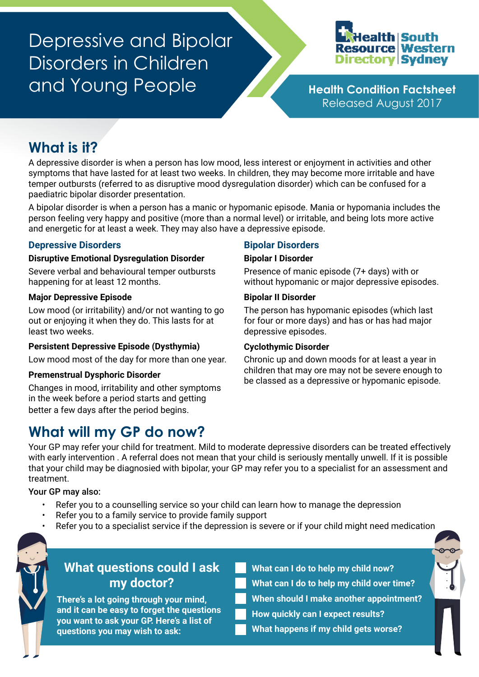# Depressive and Bipolar Disorders in Children and Young People **Health Condition Factsheet**



Released August 2017

# **What is it?**

A depressive disorder is when a person has low mood, less interest or enjoyment in activities and other symptoms that have lasted for at least two weeks. In children, they may become more irritable and have temper outbursts (referred to as disruptive mood dysregulation disorder) which can be confused for a paediatric bipolar disorder presentation.

A bipolar disorder is when a person has a manic or hypomanic episode. Mania or hypomania includes the person feeling very happy and positive (more than a normal level) or irritable, and being lots more active and energetic for at least a week. They may also have a depressive episode.

### **Depressive Disorders**

#### **Disruptive Emotional Dysregulation Disorder**

Severe verbal and behavioural temper outbursts happening for at least 12 months.

#### **Major Depressive Episode**

Low mood (or irritability) and/or not wanting to go out or enjoying it when they do. This lasts for at least two weeks.

#### **Persistent Depressive Episode (Dysthymia)**

Low mood most of the day for more than one year.

#### **Premenstrual Dysphoric Disorder**

Changes in mood, irritability and other symptoms in the week before a period starts and getting better a few days after the period begins.

## **What will my GP do now?**

### **Bipolar Disorders**

#### **Bipolar I Disorder**

Presence of manic episode (7+ days) with or without hypomanic or major depressive episodes.

#### **Bipolar II Disorder**

The person has hypomanic episodes (which last for four or more days) and has or has had major depressive episodes.

#### **Cyclothymic Disorder**

Chronic up and down moods for at least a year in children that may ore may not be severe enough to be classed as a depressive or hypomanic episode.

Your GP may refer your child for treatment. Mild to moderate depressive disorders can be treated effectively with early intervention . A referral does not mean that your child is seriously mentally unwell. If it is possible that your child may be diagnosied with bipolar, your GP may refer you to a specialist for an assessment and treatment.

Your GP may also:

- Refer you to a counselling service so your child can learn how to manage the depression
- Refer you to a family service to provide family support
- Refer you to a specialist service if the depression is severe or if your child might need medication



### **What questions could I ask my doctor?**

**There's a lot going through your mind, and it can be easy to forget the questions you want to ask your GP. Here's a list of questions you may wish to ask:**

**What can I do to help my child now? What can I do to help my child over time? When should I make another appointment?**

**How quickly can I expect results?**

**What happens if my child gets worse?**